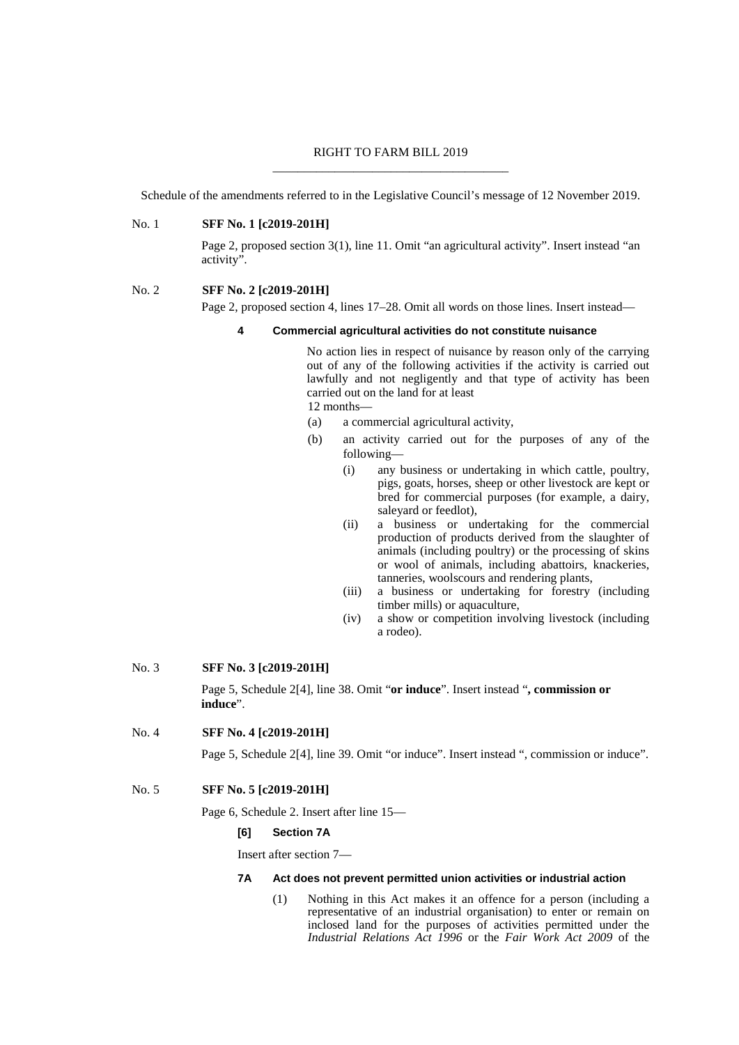# RIGHT TO FARM BILL 2019 \_\_\_\_\_\_\_\_\_\_\_\_\_\_\_\_\_\_\_\_\_\_\_\_\_\_\_\_\_\_\_\_\_\_\_\_\_\_

Schedule of the amendments referred to in the Legislative Council's message of 12 November 2019.

# No. 1 **SFF No. 1 [c2019-201H]**

Page 2, proposed section 3(1), line 11. Omit "an agricultural activity". Insert instead "an activity".

#### No. 2 **SFF No. 2 [c2019-201H]**

Page 2, proposed section 4, lines 17–28. Omit all words on those lines. Insert instead—

#### **4 Commercial agricultural activities do not constitute nuisance**

No action lies in respect of nuisance by reason only of the carrying out of any of the following activities if the activity is carried out lawfully and not negligently and that type of activity has been carried out on the land for at least

12 months—

- (a) a commercial agricultural activity,
- (b) an activity carried out for the purposes of any of the following—
	- (i) any business or undertaking in which cattle, poultry, pigs, goats, horses, sheep or other livestock are kept or bred for commercial purposes (for example, a dairy, saleyard or feedlot),
	- (ii) a business or undertaking for the commercial production of products derived from the slaughter of animals (including poultry) or the processing of skins or wool of animals, including abattoirs, knackeries, tanneries, woolscours and rendering plants,
	- (iii) a business or undertaking for forestry (including timber mills) or aquaculture,
	- (iv) a show or competition involving livestock (including a rodeo).

# No. 3 **SFF No. 3 [c2019-201H]**

Page 5, Schedule 2[4], line 38. Omit "**or induce**". Insert instead "**, commission or induce**".

No. 4 **SFF No. 4 [c2019-201H]**

Page 5, Schedule 2[4], line 39. Omit "or induce". Insert instead ", commission or induce".

# No. 5 **SFF No. 5 [c2019-201H]**

Page 6, Schedule 2. Insert after line 15—

#### **[6] Section 7A**

Insert after section 7—

#### **7A Act does not prevent permitted union activities or industrial action**

(1) Nothing in this Act makes it an offence for a person (including a representative of an industrial organisation) to enter or remain on inclosed land for the purposes of activities permitted under the *Industrial Relations Act 1996* or the *Fair Work Act 2009* of the